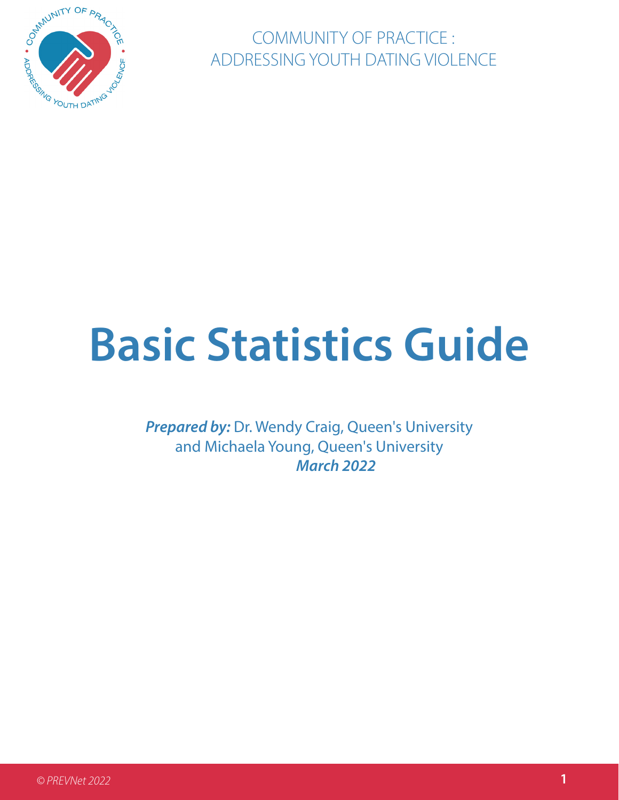

COMMUNITY OF PRACTICE : ADDRESSING YOUTH DATING VIOLENCE

# **Basic Statistics Guide**

**Prepared by: Dr. Wendy Craig, Queen's University** and Michaela Young, Queen's University *March 2022*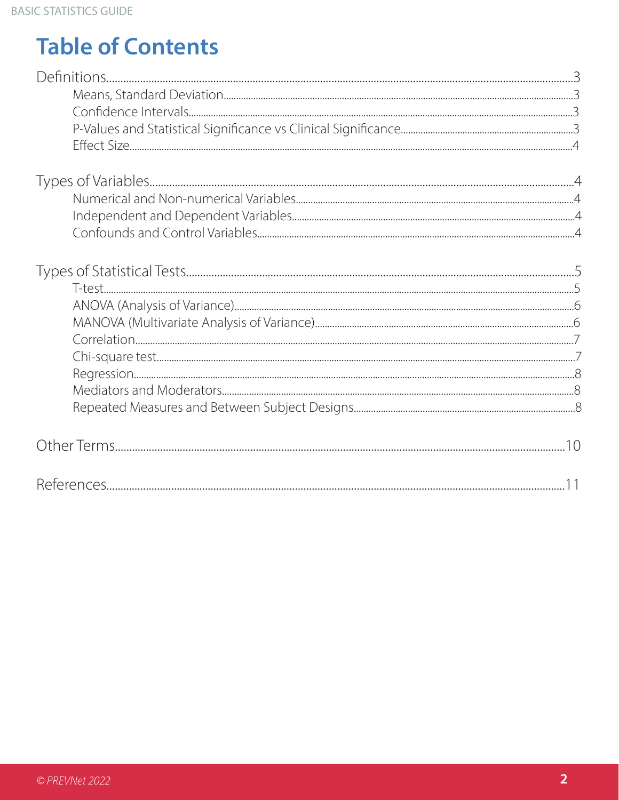# **Table of Contents**

| $T_{max}$ |  |
|-----------|--|

| $\overline{\phantom{a}}$ |
|--------------------------|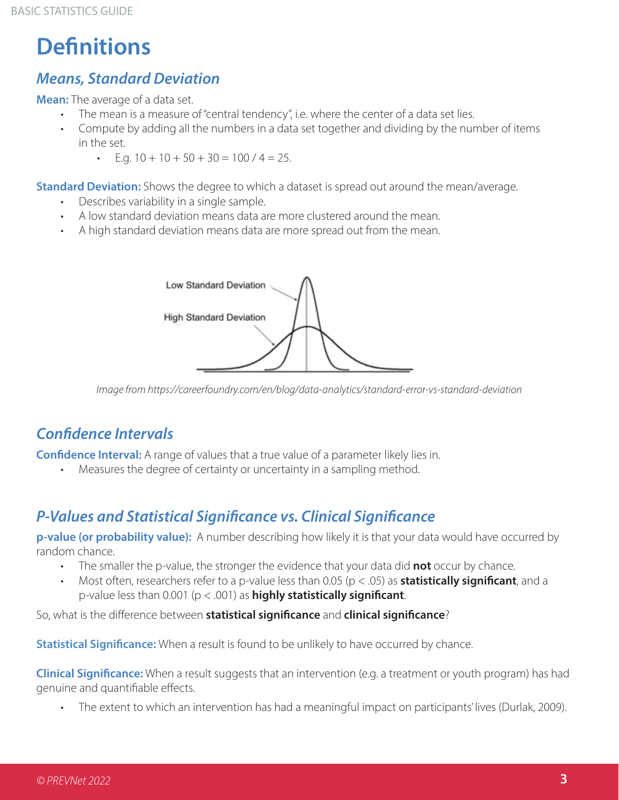# **Definitions**

### *Means, Standard Deviation*

**Mean:** The average of a data set.

- The mean is a measure of "central tendency", i.e. where the center of a data set lies.
- Compute by adding all the numbers in a data set together and dividing by the number of items in the set.
	- E.g.  $10 + 10 + 50 + 30 = 100 / 4 = 25$ .

**Standard Deviation:** Shows the degree to which a dataset is spread out around the mean/average.

- Describes variability in a single sample.
- A low standard deviation means data are more clustered around the mean.
- A high standard deviation means data are more spread out from the mean.



*Image from https://careerfoundry.com/en/blog/data-analytics/standard-error-vs-standard-deviation*

# *Confidence Intervals*

**Confidence Interval:** A range of values that a true value of a parameter likely lies in.

Measures the degree of certainty or uncertainty in a sampling method.

### *P-Values and Statistical Significance vs. Clinical Significance*

**p-value (or probability value):** A number describing how likely it is that your data would have occurred by random chance.

- The smaller the p-value, the stronger the evidence that your data did **not** occur by chance.
- Most often, researchers refer to a p-value less than 0.05 (p < .05) as **statistically significant**, and a p-value less than 0.001 (p < .001) as **highly statistically significant**.

So, what is the difference between **statistical significance** and **clinical significance**?

**Statistical Significance:** When a result is found to be unlikely to have occurred by chance.

**Clinical Significance:** When a result suggests that an intervention (e.g. a treatment or youth program) has had genuine and quantifiable effects.

• The extent to which an intervention has had a meaningful impact on participants' lives (Durlak, 2009).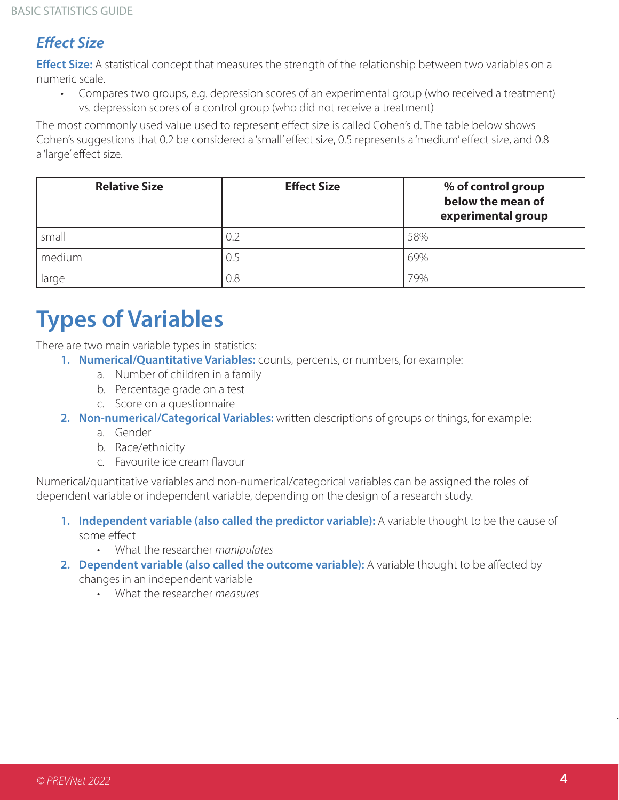# *Effect Size*

**Effect Size:** A statistical concept that measures the strength of the relationship between two variables on a numeric scale.

• Compares two groups, e.g. depression scores of an experimental group (who received a treatment) vs. depression scores of a control group (who did not receive a treatment)

The most commonly used value used to represent effect size is called Cohen's d. The table below shows Cohen's suggestions that 0.2 be considered a 'small' effect size, 0.5 represents a 'medium' effect size, and 0.8 a 'large' effect size.

| <b>Relative Size</b> | <b>Effect Size</b> | % of control group<br>below the mean of<br>experimental group |
|----------------------|--------------------|---------------------------------------------------------------|
| small                | 0.2                | 58%                                                           |
| medium               | -0.5               | 69%                                                           |
| large                | 0.8                | 79%                                                           |

# **Types of Variables**

There are two main variable types in statistics:

- **1. Numerical/Quantitative Variables:** counts, percents, or numbers, for example:
	- a. Number of children in a family
	- b. Percentage grade on a test
	- c. Score on a questionnaire
- **2. Non-numerical/Categorical Variables:** written descriptions of groups or things, for example:
	- a. Gender
	- b. Race/ethnicity
	- c. Favourite ice cream flavour

Numerical/quantitative variables and non-numerical/categorical variables can be assigned the roles of dependent variable or independent variable, depending on the design of a research study.

- **1. Independent variable (also called the predictor variable):** A variable thought to be the cause of some effect
	- What the researcher *manipulates*
- **2. Dependent variable (also called the outcome variable):** A variable thought to be affected by changes in an independent variable
	- What the researcher *measures*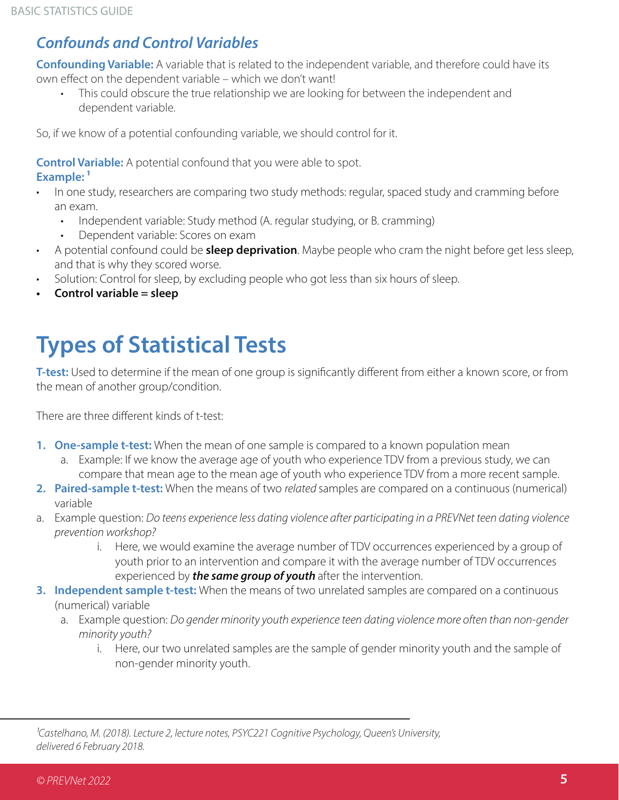## *Confounds and Control Variables*

**Confounding Variable:** A variable that is related to the independent variable, and therefore could have its own effect on the dependent variable – which we don't want!

• This could obscure the true relationship we are looking for between the independent and dependent variable.

So, if we know of a potential confounding variable, we should control for it.

**Control Variable:** A potential confound that you were able to spot. **Example: 1**

- In one study, researchers are comparing two study methods: regular, spaced study and cramming before an exam.
	- Independent variable: Study method (A. regular studying, or B. cramming)
	- Dependent variable: Scores on exam
- A potential confound could be **sleep deprivation**. Maybe people who cram the night before get less sleep, and that is why they scored worse.
- Solution: Control for sleep, by excluding people who got less than six hours of sleep.
- **• Control variable = sleep**

# **Types of Statistical Tests**

**T-test:** Used to determine if the mean of one group is significantly different from either a known score, or from the mean of another group/condition.

There are three different kinds of t-test:

- **1. One-sample t-test:** When the mean of one sample is compared to a known population mean
	- a. Example: If we know the average age of youth who experience TDV from a previous study, we can compare that mean age to the mean age of youth who experience TDV from a more recent sample.
- **2. Paired-sample t-test:** When the means of two *related* samples are compared on a continuous (numerical) variable
- a. Example question: *Do teens experience less dating violence after participating in a PREVNet teen dating violence prevention workshop?*
	- i. Here, we would examine the average number of TDV occurrences experienced by a group of youth prior to an intervention and compare it with the average number of TDV occurrences experienced by *the same group of youth* after the intervention.
- **3. Independent sample t-test:** When the means of two unrelated samples are compared on a continuous (numerical) variable
	- a. Example question: *Do gender minority youth experience teen dating violence more often than non-gender minority youth?*
		- i. Here, our two unrelated samples are the sample of gender minority youth and the sample of non-gender minority youth.

*1Castelhano, M. (2018). Lecture 2, lecture notes, PSYC221 Cognitive Psychology, Queen's University, delivered 6 February 2018.*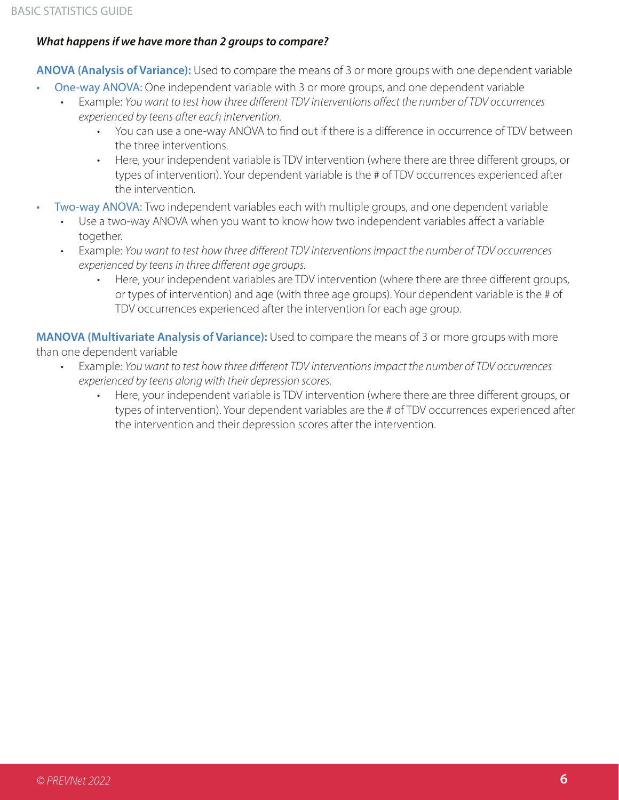#### *What happens if we have more than 2 groups to compare?*

**ANOVA (Analysis of Variance):** Used to compare the means of 3 or more groups with one dependent variable

- One-way ANOVA: One independent variable with 3 or more groups, and one dependent variable
	- Example: *You want to test how three different TDV interventions affect the number of TDV occurrences experienced by teens after each intervention.* 
		- You can use a one-way ANOVA to find out if there is a difference in occurrence of TDV between the three interventions.
		- Here, your independent variable is TDV intervention (where there are three different groups, or types of intervention). Your dependent variable is the # of TDV occurrences experienced after the intervention.
- Two-way ANOVA: Two independent variables each with multiple groups, and one dependent variable
	- Use a two-way ANOVA when you want to know how two independent variables affect a variable together.
	- Example: *You want to test how three different TDV interventions impact the number of TDV occurrences experienced by teens in three different age groups.* 
		- Here, your independent variables are TDV intervention (where there are three different groups, or types of intervention) and age (with three age groups). Your dependent variable is the # of TDV occurrences experienced after the intervention for each age group.

**MANOVA (Multivariate Analysis of Variance):** Used to compare the means of 3 or more groups with more than one dependent variable

- Example: *You want to test how three different TDV interventions impact the number of TDV occurrences experienced by teens along with their depression scores.*
	- Here, your independent variable is TDV intervention (where there are three different groups, or types of intervention). Your dependent variables are the # of TDV occurrences experienced after the intervention and their depression scores after the intervention.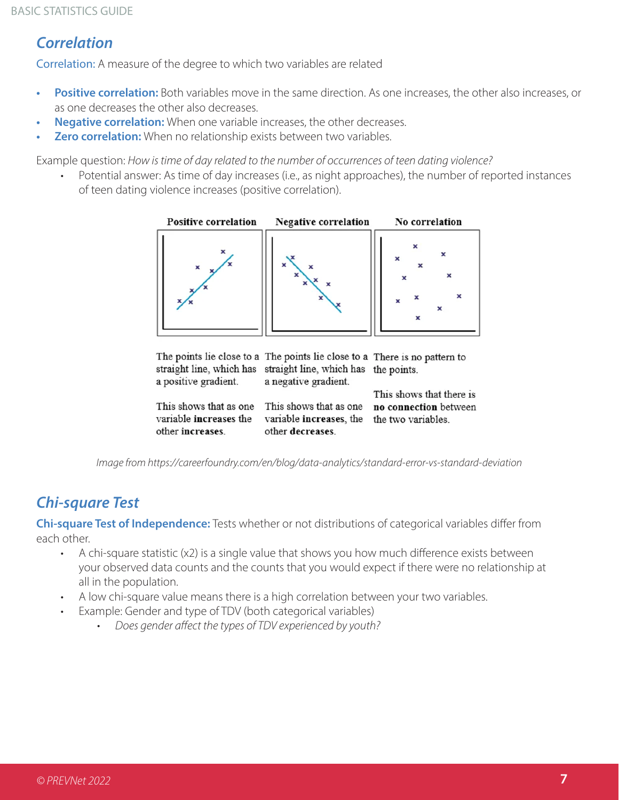### *Correlation*

Correlation: A measure of the degree to which two variables are related

- **• Positive correlation:** Both variables move in the same direction. As one increases, the other also increases, or as one decreases the other also decreases.
- **• Negative correlation:** When one variable increases, the other decreases.
- **• Zero correlation:** When no relationship exists between two variables.

Example question: *How is time of day related to the number of occurrences of teen dating violence?* 

Potential answer: As time of day increases (i.e., as night approaches), the number of reported instances of teen dating violence increases (positive correlation).



|                        | The points lie close to a The points lie close to a There is no pattern to |                          |
|------------------------|----------------------------------------------------------------------------|--------------------------|
|                        | straight line, which has straight line, which has the points.              |                          |
| a positive gradient.   | a negative gradient.                                                       |                          |
|                        |                                                                            | This shows that there is |
| This shows that as one | This shows that as one                                                     | no connection between    |
| variable increases the | variable increases, the                                                    | the two variables.       |
| other increases.       | other decreases.                                                           |                          |

*Image from https://careerfoundry.com/en/blog/data-analytics/standard-error-vs-standard-deviation*

# *Chi-square Test*

**Chi-square Test of Independence:** Tests whether or not distributions of categorical variables differ from each other.

- A chi-square statistic (x2) is a single value that shows you how much difference exists between your observed data counts and the counts that you would expect if there were no relationship at all in the population.
- A low chi-square value means there is a high correlation between your two variables.
- Example: Gender and type of TDV (both categorical variables)
	- *• Does gender affect the types of TDV experienced by youth?*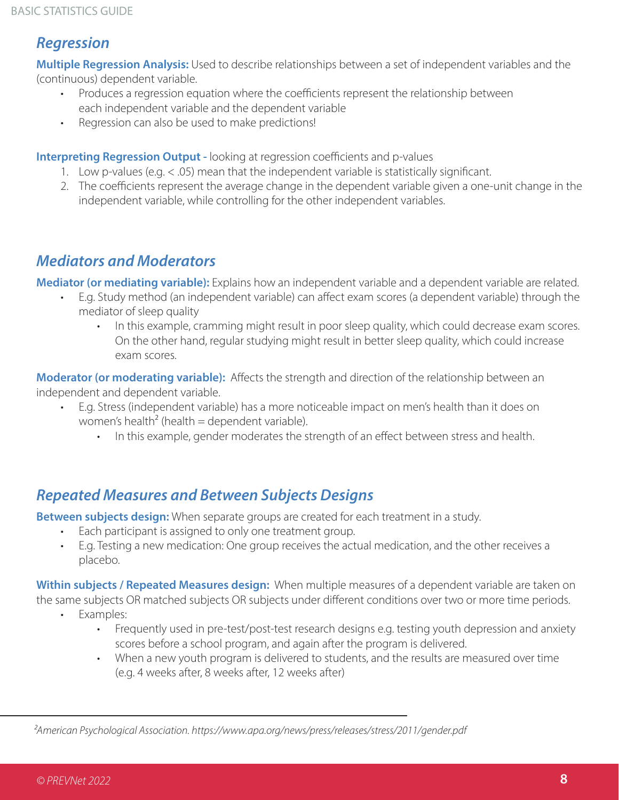### *Regression*

**Multiple Regression Analysis:** Used to describe relationships between a set of independent variables and the (continuous) dependent variable.

- Produces a regression equation where the coefficients represent the relationship between each independent variable and the dependent variable
- Regression can also be used to make predictions!

**Interpreting Regression Output -** looking at regression coefficients and p-values

- 1. Low p-values (e.g. < .05) mean that the independent variable is statistically significant.
- 2. The coefficients represent the average change in the dependent variable given a one-unit change in the independent variable, while controlling for the other independent variables.

### *Mediators and Moderators*

**Mediator (or mediating variable):** Explains how an independent variable and a dependent variable are related.

- E.g. Study method (an independent variable) can affect exam scores (a dependent variable) through the mediator of sleep quality
	- In this example, cramming might result in poor sleep quality, which could decrease exam scores. On the other hand, regular studying might result in better sleep quality, which could increase exam scores.

**Moderator (or moderating variable):** Affects the strength and direction of the relationship between an independent and dependent variable.

- E.g. Stress (independent variable) has a more noticeable impact on men's health than it does on women's health<sup>2</sup> (health = dependent variable).
	- In this example, gender moderates the strength of an effect between stress and health.

### *Repeated Measures and Between Subjects Designs*

**Between subjects design:** When separate groups are created for each treatment in a study.

- Each participant is assigned to only one treatment group.
- E.g. Testing a new medication: One group receives the actual medication, and the other receives a placebo.

**Within subjects / Repeated Measures design:** When multiple measures of a dependent variable are taken on the same subjects OR matched subjects OR subjects under different conditions over two or more time periods.

- Examples:
	- Frequently used in pre-test/post-test research designs e.g. testing youth depression and anxiety scores before a school program, and again after the program is delivered.
	- When a new youth program is delivered to students, and the results are measured over time (e.g. 4 weeks after, 8 weeks after, 12 weeks after)

*2American Psychological Association. https://www.apa.org/news/press/releases/stress/2011/gender.pdf*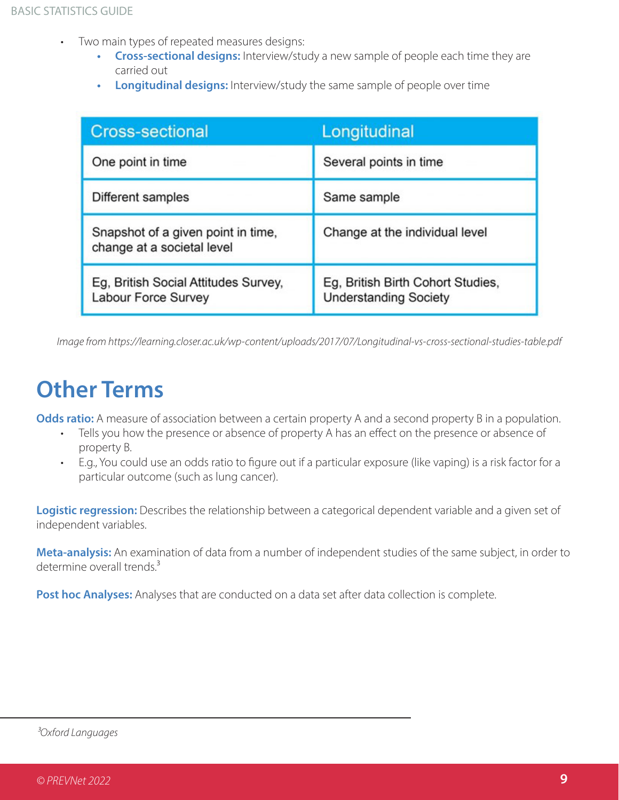- Two main types of repeated measures designs:
	- **• Cross-sectional designs:** Interview/study a new sample of people each time they are carried out
	- **• Longitudinal designs:** Interview/study the same sample of people over time

| <b>Cross-sectional</b>                                           | Longitudinal                                                      |
|------------------------------------------------------------------|-------------------------------------------------------------------|
| One point in time                                                | Several points in time                                            |
| Different samples                                                | Same sample                                                       |
| Snapshot of a given point in time,<br>change at a societal level | Change at the individual level                                    |
| Eg, British Social Attitudes Survey,<br>Labour Force Survey      | Eg, British Birth Cohort Studies,<br><b>Understanding Society</b> |

*Image from https://learning.closer.ac.uk/wp-content/uploads/2017/07/Longitudinal-vs-cross-sectional-studies-table.pdf*

# **Other Terms**

**Odds ratio:** A measure of association between a certain property A and a second property B in a population.

- Tells you how the presence or absence of property A has an effect on the presence or absence of property B.
- E.g., You could use an odds ratio to figure out if a particular exposure (like vaping) is a risk factor for a particular outcome (such as lung cancer).

**Logistic regression:** Describes the relationship between a categorical dependent variable and a given set of independent variables.

**Meta-analysis:** An examination of data from a number of independent studies of the same subject, in order to determine overall trends.<sup>3</sup>

Post hoc Analyses: Analyses that are conducted on a data set after data collection is complete.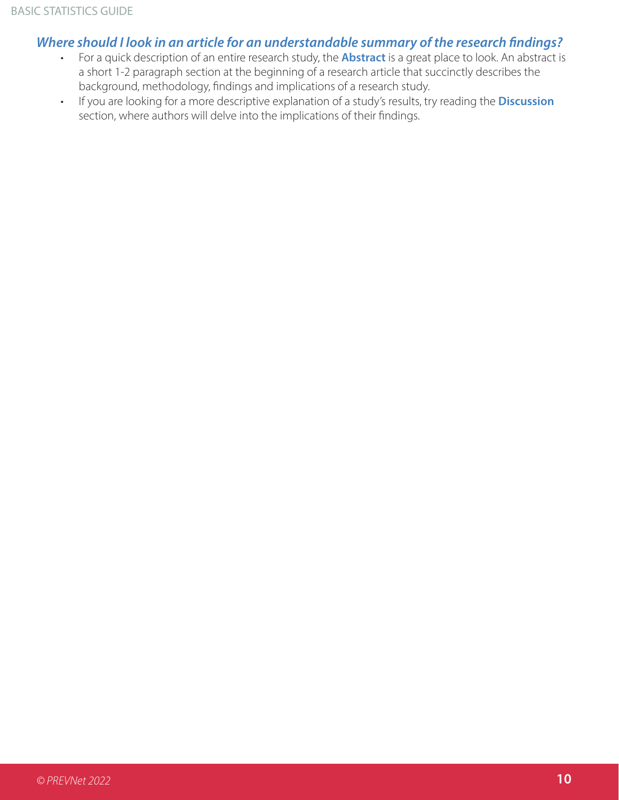#### *Where should I look in an article for an understandable summary of the research findings?*

- For a quick description of an entire research study, the **Abstract** is a great place to look. An abstract is a short 1-2 paragraph section at the beginning of a research article that succinctly describes the background, methodology, findings and implications of a research study.
- If you are looking for a more descriptive explanation of a study's results, try reading the **Discussion** section, where authors will delve into the implications of their findings.